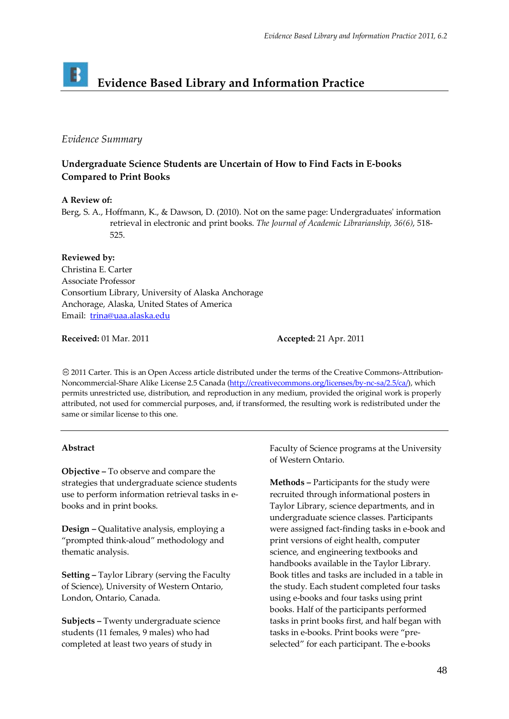# B **Evidence Based Library and Information Practice**

### *Evidence Summary*

# **Undergraduate Science Students are Uncertain of How to Find Facts in E-books Compared to Print Books**

### **A Review of:**

Berg, S. A., Hoffmann, K., & Dawson, D. (2010). Not on the same page: Undergraduates' information retrieval in electronic and print books. *The Journal of Academic Librarianship, 36(6)*, 518- 525.

**Reviewed by:**  Christina E. Carter Associate Professor Consortium Library, University of Alaska Anchorage Anchorage, Alaska, United States of America Email: [trina@uaa.alaska.edu](mailto:trina@uaa.alaska.edu)

**Received:** 01 Mar. 2011 **Accepted:** 21 Apr. 2011

2011 Carter. This is an Open Access article distributed under the terms of the Creative Commons-Attribution-Noncommercial-Share Alike License 2.5 Canada (http://creativecommons.org/licenses/by-nc-sa/2.5/ca/), which permits unrestricted use, distribution, and reproduction in any medium, provided the original work is properly attributed, not used for commercial purposes, and, if transformed, the resulting work is redistributed under the same or similar license to this one.

### **Abstract**

**Objective –** To observe and compare the strategies that undergraduate science students use to perform information retrieval tasks in ebooks and in print books.

**Design –** Qualitative analysis, employing a "prompted think-aloud" methodology and thematic analysis.

**Setting –** Taylor Library (serving the Faculty of Science), University of Western Ontario, London, Ontario, Canada.

**Subjects –** Twenty undergraduate science students (11 females, 9 males) who had completed at least two years of study in

Faculty of Science programs at the University of Western Ontario.

**Methods –** Participants for the study were recruited through informational posters in Taylor Library, science departments, and in undergraduate science classes. Participants were assigned fact-finding tasks in e-book and print versions of eight health, computer science, and engineering textbooks and handbooks available in the Taylor Library. Book titles and tasks are included in a table in the study. Each student completed four tasks using e-books and four tasks using print books. Half of the participants performed tasks in print books first, and half began with tasks in e-books. Print books were "preselected" for each participant. The e-books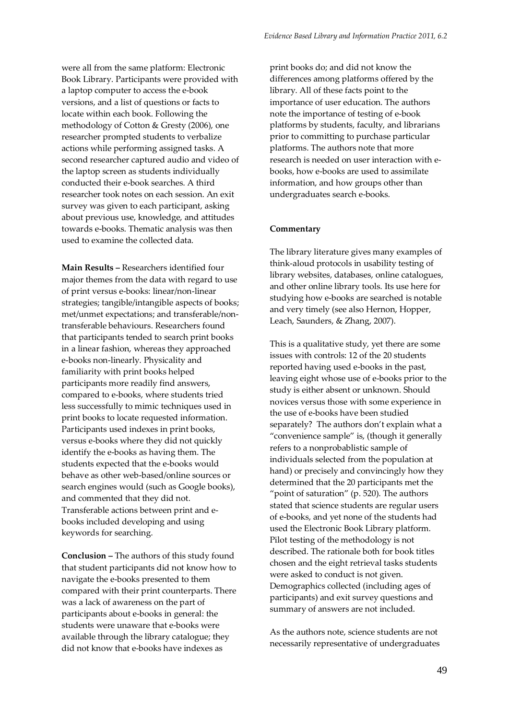were all from the same platform: Electronic Book Library. Participants were provided with a laptop computer to access the e-book versions, and a list of questions or facts to locate within each book. Following the methodology of Cotton & Gresty (2006), one researcher prompted students to verbalize actions while performing assigned tasks. A second researcher captured audio and video of the laptop screen as students individually conducted their e-book searches. A third researcher took notes on each session. An exit survey was given to each participant, asking about previous use, knowledge, and attitudes towards e-books. Thematic analysis was then used to examine the collected data.

**Main Results –** Researchers identified four major themes from the data with regard to use of print versus e-books: linear/non-linear strategies; tangible/intangible aspects of books; met/unmet expectations; and transferable/nontransferable behaviours. Researchers found that participants tended to search print books in a linear fashion, whereas they approached e-books non-linearly. Physicality and familiarity with print books helped participants more readily find answers, compared to e-books, where students tried less successfully to mimic techniques used in print books to locate requested information. Participants used indexes in print books, versus e-books where they did not quickly identify the e-books as having them. The students expected that the e-books would behave as other web-based/online sources or search engines would (such as Google books), and commented that they did not. Transferable actions between print and ebooks included developing and using keywords for searching.

**Conclusion –** The authors of this study found that student participants did not know how to navigate the e-books presented to them compared with their print counterparts. There was a lack of awareness on the part of participants about e-books in general: the students were unaware that e-books were available through the library catalogue; they did not know that e-books have indexes as

print books do; and did not know the differences among platforms offered by the library. All of these facts point to the importance of user education. The authors note the importance of testing of e-book platforms by students, faculty, and librarians prior to committing to purchase particular platforms. The authors note that more research is needed on user interaction with ebooks, how e-books are used to assimilate information, and how groups other than undergraduates search e-books.

### **Commentary**

The library literature gives many examples of think-aloud protocols in usability testing of library websites, databases, online catalogues, and other online library tools. Its use here for studying how e-books are searched is notable and very timely (see also Hernon, Hopper, Leach, Saunders, & Zhang, 2007).

This is a qualitative study, yet there are some issues with controls: 12 of the 20 students reported having used e-books in the past, leaving eight whose use of e-books prior to the study is either absent or unknown. Should novices versus those with some experience in the use of e-books have been studied separately? The authors don't explain what a "convenience sample" is, (though it generally refers to a nonprobablistic sample of individuals selected from the population at hand) or precisely and convincingly how they determined that the 20 participants met the "point of saturation" (p. 520). The authors stated that science students are regular users of e-books, and yet none of the students had used the Electronic Book Library platform. Pilot testing of the methodology is not described. The rationale both for book titles chosen and the eight retrieval tasks students were asked to conduct is not given. Demographics collected (including ages of participants) and exit survey questions and summary of answers are not included.

As the authors note, science students are not necessarily representative of undergraduates